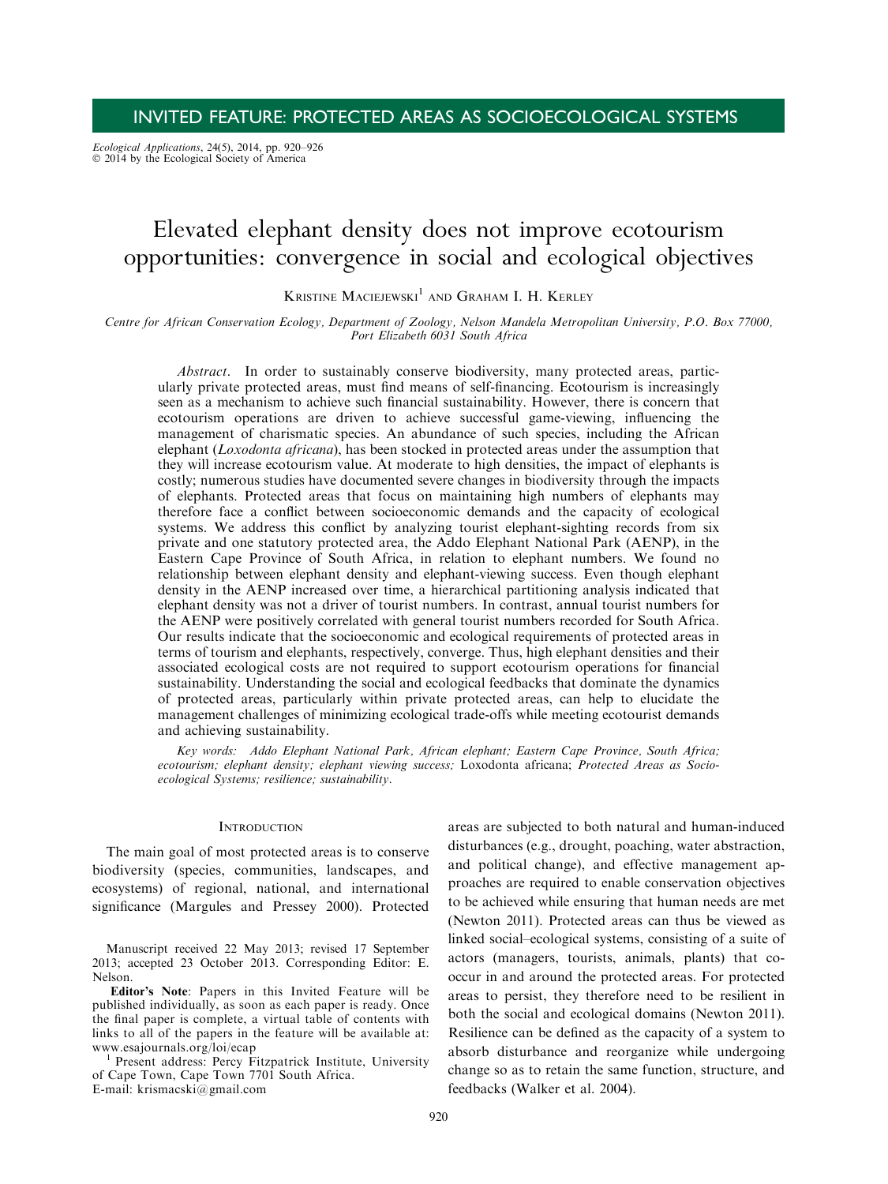Ecological Applications, 24(5), 2014, pp. 920–926<br>© 2014 by the Ecological Society of America

# Elevated elephant density does not improve ecotourism opportunities: convergence in social and ecological objectives

KRISTINE MACIEJEWSKI $^1$  and Graham I. H. Kerley

Centre for African Conservation Ecology, Department of Zoology, Nelson Mandela Metropolitan University, P.O. Box 77000, Port Elizabeth 6031 South Africa

Abstract. In order to sustainably conserve biodiversity, many protected areas, particularly private protected areas, must find means of self-financing. Ecotourism is increasingly seen as a mechanism to achieve such financial sustainability. However, there is concern that ecotourism operations are driven to achieve successful game-viewing, influencing the management of charismatic species. An abundance of such species, including the African elephant (Loxodonta africana), has been stocked in protected areas under the assumption that they will increase ecotourism value. At moderate to high densities, the impact of elephants is costly; numerous studies have documented severe changes in biodiversity through the impacts of elephants. Protected areas that focus on maintaining high numbers of elephants may therefore face a conflict between socioeconomic demands and the capacity of ecological systems. We address this conflict by analyzing tourist elephant-sighting records from six private and one statutory protected area, the Addo Elephant National Park (AENP), in the Eastern Cape Province of South Africa, in relation to elephant numbers. We found no relationship between elephant density and elephant-viewing success. Even though elephant density in the AENP increased over time, a hierarchical partitioning analysis indicated that elephant density was not a driver of tourist numbers. In contrast, annual tourist numbers for the AENP were positively correlated with general tourist numbers recorded for South Africa. Our results indicate that the socioeconomic and ecological requirements of protected areas in terms of tourism and elephants, respectively, converge. Thus, high elephant densities and their associated ecological costs are not required to support ecotourism operations for financial sustainability. Understanding the social and ecological feedbacks that dominate the dynamics of protected areas, particularly within private protected areas, can help to elucidate the management challenges of minimizing ecological trade-offs while meeting ecotourist demands and achieving sustainability.

Key words: Addo Elephant National Park, African elephant; Eastern Cape Province, South Africa; ecotourism; elephant density; elephant viewing success; Loxodonta africana; Protected Areas as Socioecological Systems; resilience; sustainability.

## **INTRODUCTION**

The main goal of most protected areas is to conserve biodiversity (species, communities, landscapes, and ecosystems) of regional, national, and international significance (Margules and Pressey 2000). Protected

Manuscript received 22 May 2013; revised 17 September 2013; accepted 23 October 2013. Corresponding Editor: E. Nelson.

Editor's Note: Papers in this Invited Feature will be published individually, as soon as each paper is ready. Once the final paper is complete, a virtual table of contents with links to all of the papers in the feature will be available at: www.esajournals.org/loi/ecap<br><sup>1</sup> Present address: Percy Fitzpatrick Institute, University

of Cape Town, Cape Town 7701 South Africa. E-mail: krismacski@gmail.com

areas are subjected to both natural and human-induced disturbances (e.g., drought, poaching, water abstraction, and political change), and effective management approaches are required to enable conservation objectives to be achieved while ensuring that human needs are met (Newton 2011). Protected areas can thus be viewed as linked social–ecological systems, consisting of a suite of actors (managers, tourists, animals, plants) that cooccur in and around the protected areas. For protected areas to persist, they therefore need to be resilient in both the social and ecological domains (Newton 2011). Resilience can be defined as the capacity of a system to absorb disturbance and reorganize while undergoing change so as to retain the same function, structure, and feedbacks (Walker et al. 2004).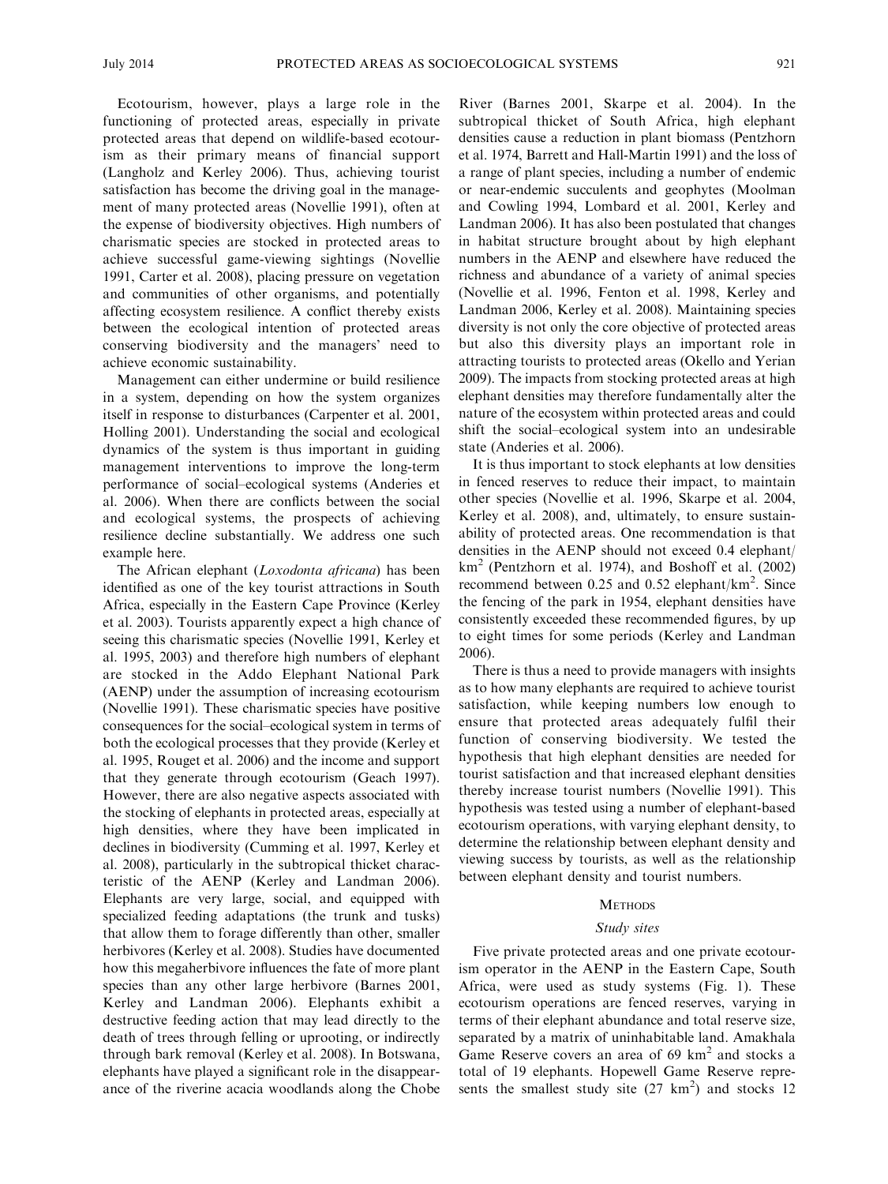Ecotourism, however, plays a large role in the functioning of protected areas, especially in private protected areas that depend on wildlife-based ecotourism as their primary means of financial support (Langholz and Kerley 2006). Thus, achieving tourist satisfaction has become the driving goal in the management of many protected areas (Novellie 1991), often at the expense of biodiversity objectives. High numbers of charismatic species are stocked in protected areas to achieve successful game-viewing sightings (Novellie 1991, Carter et al. 2008), placing pressure on vegetation and communities of other organisms, and potentially affecting ecosystem resilience. A conflict thereby exists between the ecological intention of protected areas conserving biodiversity and the managers' need to achieve economic sustainability.

Management can either undermine or build resilience in a system, depending on how the system organizes itself in response to disturbances (Carpenter et al. 2001, Holling 2001). Understanding the social and ecological dynamics of the system is thus important in guiding management interventions to improve the long-term performance of social–ecological systems (Anderies et al. 2006). When there are conflicts between the social and ecological systems, the prospects of achieving resilience decline substantially. We address one such example here.

The African elephant (Loxodonta africana) has been identified as one of the key tourist attractions in South Africa, especially in the Eastern Cape Province (Kerley et al. 2003). Tourists apparently expect a high chance of seeing this charismatic species (Novellie 1991, Kerley et al. 1995, 2003) and therefore high numbers of elephant are stocked in the Addo Elephant National Park (AENP) under the assumption of increasing ecotourism (Novellie 1991). These charismatic species have positive consequences for the social–ecological system in terms of both the ecological processes that they provide (Kerley et al. 1995, Rouget et al. 2006) and the income and support that they generate through ecotourism (Geach 1997). However, there are also negative aspects associated with the stocking of elephants in protected areas, especially at high densities, where they have been implicated in declines in biodiversity (Cumming et al. 1997, Kerley et al. 2008), particularly in the subtropical thicket characteristic of the AENP (Kerley and Landman 2006). Elephants are very large, social, and equipped with specialized feeding adaptations (the trunk and tusks) that allow them to forage differently than other, smaller herbivores (Kerley et al. 2008). Studies have documented how this megaherbivore influences the fate of more plant species than any other large herbivore (Barnes 2001, Kerley and Landman 2006). Elephants exhibit a destructive feeding action that may lead directly to the death of trees through felling or uprooting, or indirectly through bark removal (Kerley et al. 2008). In Botswana, elephants have played a significant role in the disappearance of the riverine acacia woodlands along the Chobe River (Barnes 2001, Skarpe et al. 2004). In the subtropical thicket of South Africa, high elephant densities cause a reduction in plant biomass (Pentzhorn et al. 1974, Barrett and Hall-Martin 1991) and the loss of a range of plant species, including a number of endemic or near-endemic succulents and geophytes (Moolman and Cowling 1994, Lombard et al. 2001, Kerley and Landman 2006). It has also been postulated that changes in habitat structure brought about by high elephant numbers in the AENP and elsewhere have reduced the richness and abundance of a variety of animal species (Novellie et al. 1996, Fenton et al. 1998, Kerley and Landman 2006, Kerley et al. 2008). Maintaining species diversity is not only the core objective of protected areas but also this diversity plays an important role in attracting tourists to protected areas (Okello and Yerian 2009). The impacts from stocking protected areas at high elephant densities may therefore fundamentally alter the nature of the ecosystem within protected areas and could shift the social–ecological system into an undesirable state (Anderies et al. 2006).

It is thus important to stock elephants at low densities in fenced reserves to reduce their impact, to maintain other species (Novellie et al. 1996, Skarpe et al. 2004, Kerley et al. 2008), and, ultimately, to ensure sustainability of protected areas. One recommendation is that densities in the AENP should not exceed 0.4 elephant/  $km<sup>2</sup>$  (Pentzhorn et al. 1974), and Boshoff et al. (2002) recommend between  $0.25$  and  $0.52$  elephant/km<sup>2</sup>. Since the fencing of the park in 1954, elephant densities have consistently exceeded these recommended figures, by up to eight times for some periods (Kerley and Landman 2006).

There is thus a need to provide managers with insights as to how many elephants are required to achieve tourist satisfaction, while keeping numbers low enough to ensure that protected areas adequately fulfil their function of conserving biodiversity. We tested the hypothesis that high elephant densities are needed for tourist satisfaction and that increased elephant densities thereby increase tourist numbers (Novellie 1991). This hypothesis was tested using a number of elephant-based ecotourism operations, with varying elephant density, to determine the relationship between elephant density and viewing success by tourists, as well as the relationship between elephant density and tourist numbers.

### **METHODS**

#### Study sites

Five private protected areas and one private ecotourism operator in the AENP in the Eastern Cape, South Africa, were used as study systems (Fig. 1). These ecotourism operations are fenced reserves, varying in terms of their elephant abundance and total reserve size, separated by a matrix of uninhabitable land. Amakhala Game Reserve covers an area of  $69 \text{ km}^2$  and stocks a total of 19 elephants. Hopewell Game Reserve represents the smallest study site  $(27 \text{ km}^2)$  and stocks 12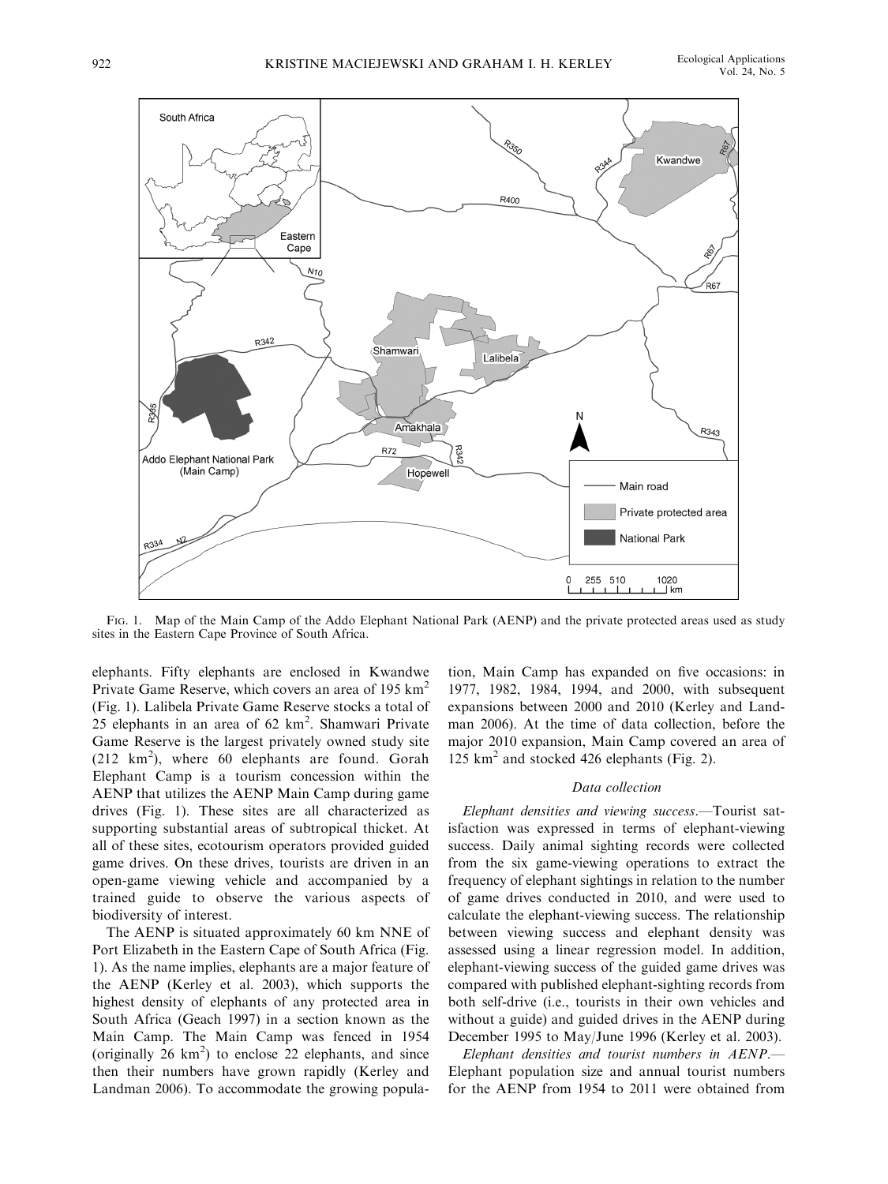

FIG. 1. Map of the Main Camp of the Addo Elephant National Park (AENP) and the private protected areas used as study sites in the Eastern Cape Province of South Africa.

elephants. Fifty elephants are enclosed in Kwandwe Private Game Reserve, which covers an area of 195 km<sup>2</sup> (Fig. 1). Lalibela Private Game Reserve stocks a total of 25 elephants in an area of 62 km<sup>2</sup>. Shamwari Private Game Reserve is the largest privately owned study site (212 km<sup>2</sup>), where 60 elephants are found. Gorah Elephant Camp is a tourism concession within the AENP that utilizes the AENP Main Camp during game drives (Fig. 1). These sites are all characterized as supporting substantial areas of subtropical thicket. At all of these sites, ecotourism operators provided guided game drives. On these drives, tourists are driven in an open-game viewing vehicle and accompanied by a trained guide to observe the various aspects of biodiversity of interest.

The AENP is situated approximately 60 km NNE of Port Elizabeth in the Eastern Cape of South Africa (Fig. 1). As the name implies, elephants are a major feature of the AENP (Kerley et al. 2003), which supports the highest density of elephants of any protected area in South Africa (Geach 1997) in a section known as the Main Camp. The Main Camp was fenced in 1954 (originally  $26 \text{ km}^2$ ) to enclose  $22$  elephants, and since then their numbers have grown rapidly (Kerley and Landman 2006). To accommodate the growing population, Main Camp has expanded on five occasions: in 1977, 1982, 1984, 1994, and 2000, with subsequent expansions between 2000 and 2010 (Kerley and Landman 2006). At the time of data collection, before the major 2010 expansion, Main Camp covered an area of 125 km2 and stocked 426 elephants (Fig. 2).

#### Data collection

Elephant densities and viewing success.—Tourist satisfaction was expressed in terms of elephant-viewing success. Daily animal sighting records were collected from the six game-viewing operations to extract the frequency of elephant sightings in relation to the number of game drives conducted in 2010, and were used to calculate the elephant-viewing success. The relationship between viewing success and elephant density was assessed using a linear regression model. In addition, elephant-viewing success of the guided game drives was compared with published elephant-sighting records from both self-drive (i.e., tourists in their own vehicles and without a guide) and guided drives in the AENP during December 1995 to May/June 1996 (Kerley et al. 2003).

Elephant densities and tourist numbers in AENP.— Elephant population size and annual tourist numbers for the AENP from 1954 to 2011 were obtained from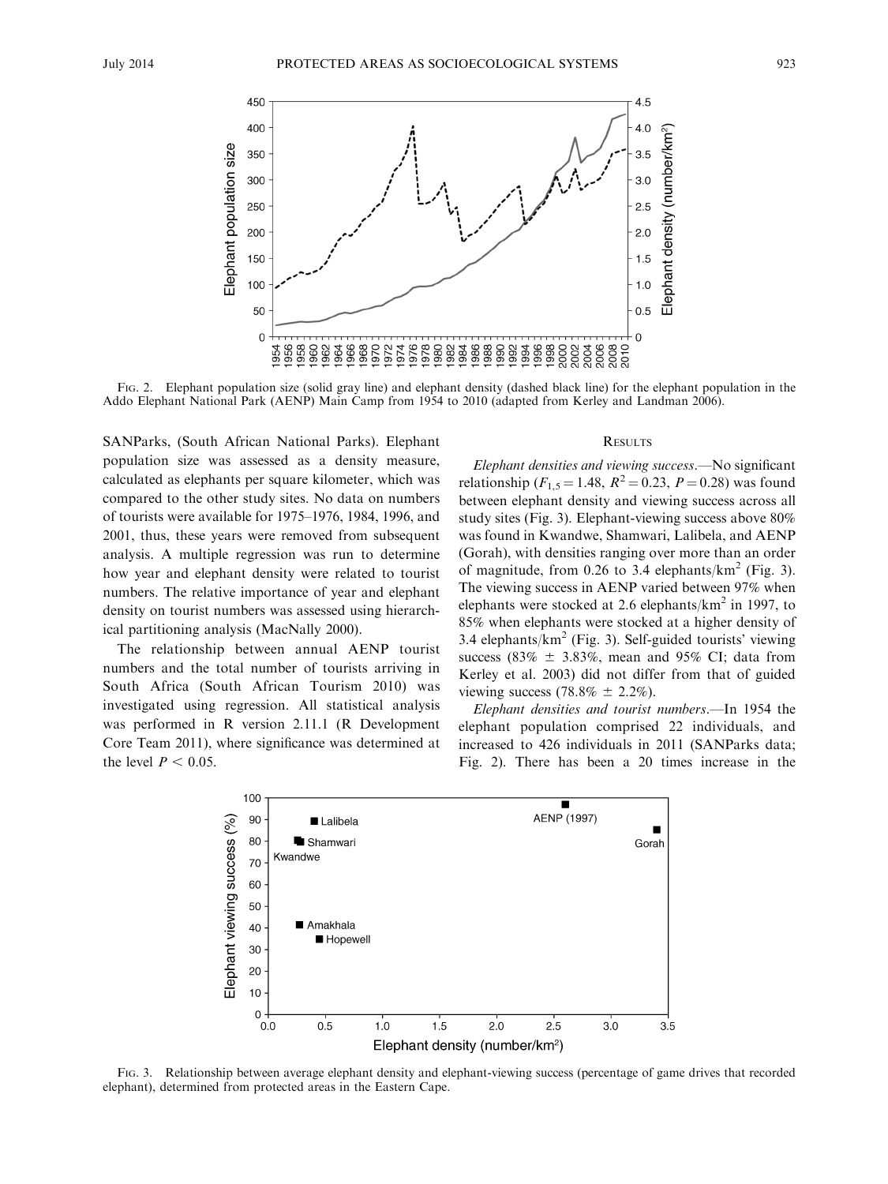

FIG. 2. Elephant population size (solid gray line) and elephant density (dashed black line) for the elephant population in the Addo Elephant National Park (AENP) Main Camp from 1954 to 2010 (adapted from Kerley and Landman 2006).

SANParks, (South African National Parks). Elephant population size was assessed as a density measure, calculated as elephants per square kilometer, which was compared to the other study sites. No data on numbers of tourists were available for 1975–1976, 1984, 1996, and 2001, thus, these years were removed from subsequent analysis. A multiple regression was run to determine how year and elephant density were related to tourist numbers. The relative importance of year and elephant density on tourist numbers was assessed using hierarchical partitioning analysis (MacNally 2000).

The relationship between annual AENP tourist numbers and the total number of tourists arriving in South Africa (South African Tourism 2010) was investigated using regression. All statistical analysis was performed in R version 2.11.1 (R Development Core Team 2011), where significance was determined at the level  $P < 0.05$ .

## **RESULTS**

Elephant densities and viewing success.—No significant relationship ( $F_{1,5} = 1.48$ ,  $R^2 = 0.23$ ,  $P = 0.28$ ) was found between elephant density and viewing success across all study sites (Fig. 3). Elephant-viewing success above 80% was found in Kwandwe, Shamwari, Lalibela, and AENP (Gorah), with densities ranging over more than an order of magnitude, from 0.26 to 3.4 elephants/ $km^2$  (Fig. 3). The viewing success in AENP varied between 97% when elephants were stocked at 2.6 elephants/ $km<sup>2</sup>$  in 1997, to 85% when elephants were stocked at a higher density of 3.4 elephants/ $km^2$  (Fig. 3). Self-guided tourists' viewing success (83%  $\pm$  3.83%, mean and 95% CI; data from Kerley et al. 2003) did not differ from that of guided viewing success (78.8%  $\pm$  2.2%).

Elephant densities and tourist numbers.—In 1954 the elephant population comprised 22 individuals, and increased to 426 individuals in 2011 (SANParks data; Fig. 2). There has been a 20 times increase in the



FIG. 3. Relationship between average elephant density and elephant-viewing success (percentage of game drives that recorded elephant), determined from protected areas in the Eastern Cape.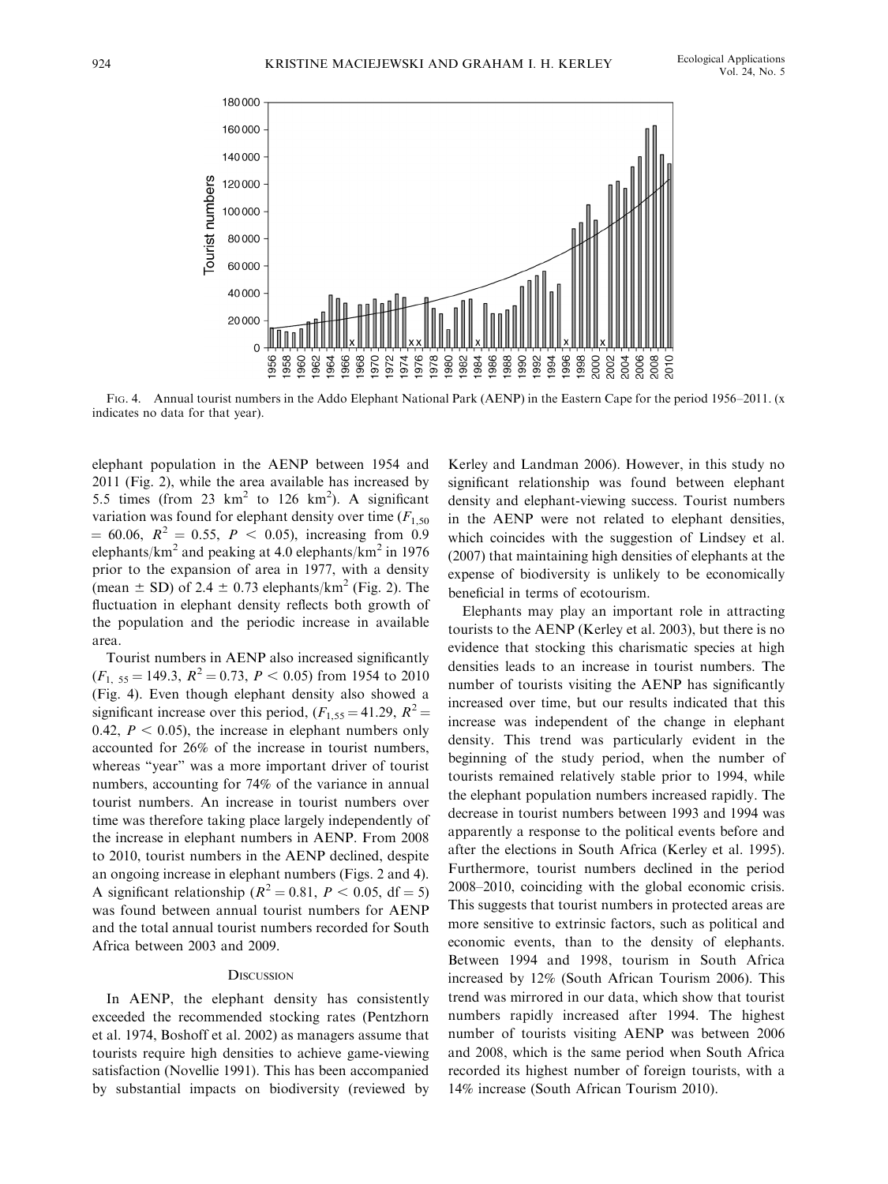

FIG. 4. Annual tourist numbers in the Addo Elephant National Park (AENP) in the Eastern Cape for the period 1956–2011. (x indicates no data for that year).

elephant population in the AENP between 1954 and 2011 (Fig. 2), while the area available has increased by 5.5 times (from 23  $km^2$  to 126  $km^2$ ). A significant variation was found for elephant density over time  $(F_{1,50})$  $= 60.06$ ,  $R^2 = 0.55$ ,  $P < 0.05$ ), increasing from 0.9 elephants/km<sup>2</sup> and peaking at 4.0 elephants/km<sup>2</sup> in 1976 prior to the expansion of area in 1977, with a density (mean  $\pm$  SD) of 2.4  $\pm$  0.73 elephants/km<sup>2</sup> (Fig. 2). The fluctuation in elephant density reflects both growth of the population and the periodic increase in available area.

Tourist numbers in AENP also increased significantly  $(F<sub>1, 55</sub> = 149.3, R<sup>2</sup> = 0.73, P < 0.05)$  from 1954 to 2010 (Fig. 4). Even though elephant density also showed a significant increase over this period,  $(F_{1,55} = 41.29, R^2 =$ 0.42,  $P < 0.05$ ), the increase in elephant numbers only accounted for 26% of the increase in tourist numbers, whereas "year" was a more important driver of tourist numbers, accounting for 74% of the variance in annual tourist numbers. An increase in tourist numbers over time was therefore taking place largely independently of the increase in elephant numbers in AENP. From 2008 to 2010, tourist numbers in the AENP declined, despite an ongoing increase in elephant numbers (Figs. 2 and 4). A significant relationship ( $R^2 = 0.81$ ,  $P < 0.05$ , df = 5) was found between annual tourist numbers for AENP and the total annual tourist numbers recorded for South Africa between 2003 and 2009.

## **DISCUSSION**

In AENP, the elephant density has consistently exceeded the recommended stocking rates (Pentzhorn et al. 1974, Boshoff et al. 2002) as managers assume that tourists require high densities to achieve game-viewing satisfaction (Novellie 1991). This has been accompanied by substantial impacts on biodiversity (reviewed by

Kerley and Landman 2006). However, in this study no significant relationship was found between elephant density and elephant-viewing success. Tourist numbers in the AENP were not related to elephant densities, which coincides with the suggestion of Lindsey et al. (2007) that maintaining high densities of elephants at the expense of biodiversity is unlikely to be economically beneficial in terms of ecotourism.

Elephants may play an important role in attracting tourists to the AENP (Kerley et al. 2003), but there is no evidence that stocking this charismatic species at high densities leads to an increase in tourist numbers. The number of tourists visiting the AENP has significantly increased over time, but our results indicated that this increase was independent of the change in elephant density. This trend was particularly evident in the beginning of the study period, when the number of tourists remained relatively stable prior to 1994, while the elephant population numbers increased rapidly. The decrease in tourist numbers between 1993 and 1994 was apparently a response to the political events before and after the elections in South Africa (Kerley et al. 1995). Furthermore, tourist numbers declined in the period 2008–2010, coinciding with the global economic crisis. This suggests that tourist numbers in protected areas are more sensitive to extrinsic factors, such as political and economic events, than to the density of elephants. Between 1994 and 1998, tourism in South Africa increased by 12% (South African Tourism 2006). This trend was mirrored in our data, which show that tourist numbers rapidly increased after 1994. The highest number of tourists visiting AENP was between 2006 and 2008, which is the same period when South Africa recorded its highest number of foreign tourists, with a 14% increase (South African Tourism 2010).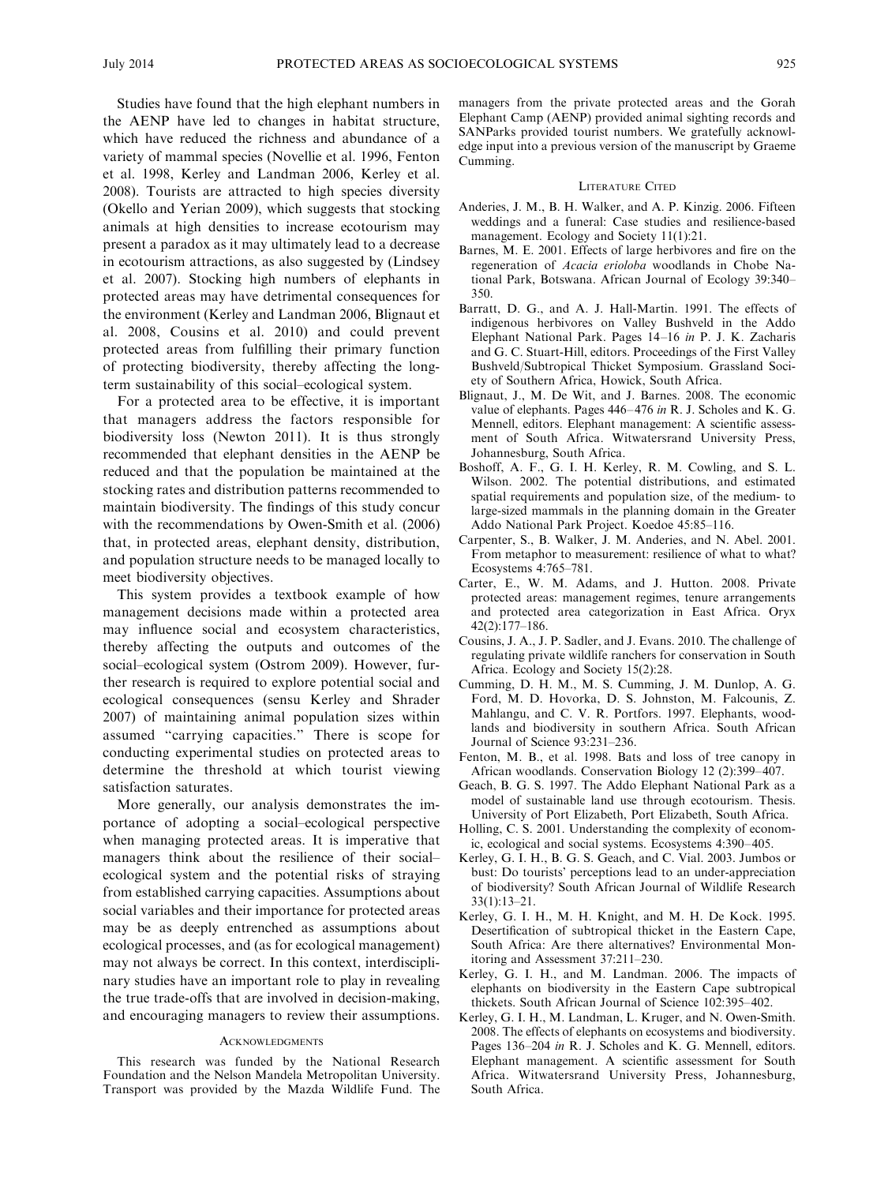Studies have found that the high elephant numbers in the AENP have led to changes in habitat structure, which have reduced the richness and abundance of a variety of mammal species (Novellie et al. 1996, Fenton et al. 1998, Kerley and Landman 2006, Kerley et al. 2008). Tourists are attracted to high species diversity (Okello and Yerian 2009), which suggests that stocking animals at high densities to increase ecotourism may present a paradox as it may ultimately lead to a decrease in ecotourism attractions, as also suggested by (Lindsey et al. 2007). Stocking high numbers of elephants in protected areas may have detrimental consequences for the environment (Kerley and Landman 2006, Blignaut et al. 2008, Cousins et al. 2010) and could prevent protected areas from fulfilling their primary function of protecting biodiversity, thereby affecting the longterm sustainability of this social–ecological system.

For a protected area to be effective, it is important that managers address the factors responsible for biodiversity loss (Newton 2011). It is thus strongly recommended that elephant densities in the AENP be reduced and that the population be maintained at the stocking rates and distribution patterns recommended to maintain biodiversity. The findings of this study concur with the recommendations by Owen-Smith et al. (2006) that, in protected areas, elephant density, distribution, and population structure needs to be managed locally to meet biodiversity objectives.

This system provides a textbook example of how management decisions made within a protected area may influence social and ecosystem characteristics, thereby affecting the outputs and outcomes of the social–ecological system (Ostrom 2009). However, further research is required to explore potential social and ecological consequences (sensu Kerley and Shrader 2007) of maintaining animal population sizes within assumed ''carrying capacities.'' There is scope for conducting experimental studies on protected areas to determine the threshold at which tourist viewing satisfaction saturates.

More generally, our analysis demonstrates the importance of adopting a social–ecological perspective when managing protected areas. It is imperative that managers think about the resilience of their social– ecological system and the potential risks of straying from established carrying capacities. Assumptions about social variables and their importance for protected areas may be as deeply entrenched as assumptions about ecological processes, and (as for ecological management) may not always be correct. In this context, interdisciplinary studies have an important role to play in revealing the true trade-offs that are involved in decision-making, and encouraging managers to review their assumptions.

#### **ACKNOWLEDGMENTS**

This research was funded by the National Research Foundation and the Nelson Mandela Metropolitan University. Transport was provided by the Mazda Wildlife Fund. The managers from the private protected areas and the Gorah Elephant Camp (AENP) provided animal sighting records and SANParks provided tourist numbers. We gratefully acknowledge input into a previous version of the manuscript by Graeme Cumming.

#### LITERATURE CITED

- Anderies, J. M., B. H. Walker, and A. P. Kinzig. 2006. Fifteen weddings and a funeral: Case studies and resilience-based management. Ecology and Society 11(1):21.
- Barnes, M. E. 2001. Effects of large herbivores and fire on the regeneration of Acacia erioloba woodlands in Chobe National Park, Botswana. African Journal of Ecology 39:340– 350.
- Barratt, D. G., and A. J. Hall-Martin. 1991. The effects of indigenous herbivores on Valley Bushveld in the Addo Elephant National Park. Pages 14–16 in P. J. K. Zacharis and G. C. Stuart-Hill, editors. Proceedings of the First Valley Bushveld/Subtropical Thicket Symposium. Grassland Society of Southern Africa, Howick, South Africa.
- Blignaut, J., M. De Wit, and J. Barnes. 2008. The economic value of elephants. Pages 446–476 in R. J. Scholes and K. G. Mennell, editors. Elephant management: A scientific assessment of South Africa. Witwatersrand University Press, Johannesburg, South Africa.
- Boshoff, A. F., G. I. H. Kerley, R. M. Cowling, and S. L. Wilson. 2002. The potential distributions, and estimated spatial requirements and population size, of the medium- to large-sized mammals in the planning domain in the Greater Addo National Park Project. Koedoe 45:85–116.
- Carpenter, S., B. Walker, J. M. Anderies, and N. Abel. 2001. From metaphor to measurement: resilience of what to what? Ecosystems 4:765–781.
- Carter, E., W. M. Adams, and J. Hutton. 2008. Private protected areas: management regimes, tenure arrangements and protected area categorization in East Africa. Oryx 42(2):177–186.
- Cousins, J. A., J. P. Sadler, and J. Evans. 2010. The challenge of regulating private wildlife ranchers for conservation in South Africa. Ecology and Society 15(2):28.
- Cumming, D. H. M., M. S. Cumming, J. M. Dunlop, A. G. Ford, M. D. Hovorka, D. S. Johnston, M. Falcounis, Z. Mahlangu, and C. V. R. Portfors. 1997. Elephants, woodlands and biodiversity in southern Africa. South African Journal of Science 93:231–236.
- Fenton, M. B., et al. 1998. Bats and loss of tree canopy in African woodlands. Conservation Biology 12 (2):399–407.
- Geach, B. G. S. 1997. The Addo Elephant National Park as a model of sustainable land use through ecotourism. Thesis. University of Port Elizabeth, Port Elizabeth, South Africa.
- Holling, C. S. 2001. Understanding the complexity of economic, ecological and social systems. Ecosystems 4:390–405.
- Kerley, G. I. H., B. G. S. Geach, and C. Vial. 2003. Jumbos or bust: Do tourists' perceptions lead to an under-appreciation of biodiversity? South African Journal of Wildlife Research 33(1):13–21.
- Kerley, G. I. H., M. H. Knight, and M. H. De Kock. 1995. Desertification of subtropical thicket in the Eastern Cape, South Africa: Are there alternatives? Environmental Monitoring and Assessment 37:211–230.
- Kerley, G. I. H., and M. Landman. 2006. The impacts of elephants on biodiversity in the Eastern Cape subtropical thickets. South African Journal of Science 102:395–402.
- Kerley, G. I. H., M. Landman, L. Kruger, and N. Owen-Smith. 2008. The effects of elephants on ecosystems and biodiversity. Pages 136–204 in R. J. Scholes and K. G. Mennell, editors. Elephant management. A scientific assessment for South Africa. Witwatersrand University Press, Johannesburg, South Africa.